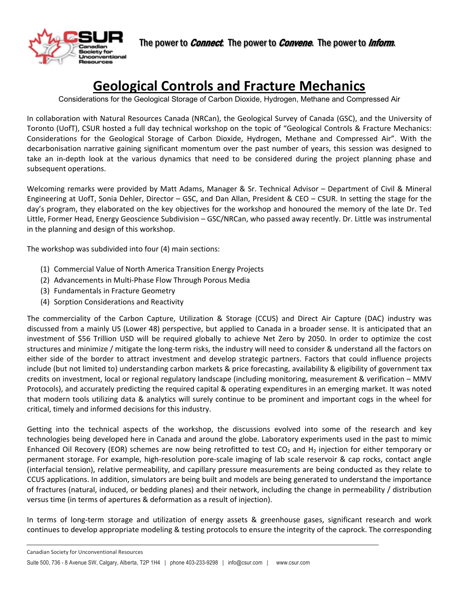

# **Geological Controls and Fracture Mechanics**

Considerations for the Geological Storage of Carbon Dioxide, Hydrogen, Methane and Compressed Air

In collaboration with Natural Resources Canada (NRCan), the Geological Survey of Canada (GSC), and the University of Toronto (UofT), CSUR hosted a full day technical workshop on the topic of "Geological Controls & Fracture Mechanics: Considerations for the Geological Storage of Carbon Dioxide, Hydrogen, Methane and Compressed Air". With the decarbonisation narrative gaining significant momentum over the past number of years, this session was designed to take an in-depth look at the various dynamics that need to be considered during the project planning phase and subsequent operations.

Welcoming remarks were provided by Matt Adams, Manager & Sr. Technical Advisor – Department of Civil & Mineral Engineering at UofT, Sonia Dehler, Director – GSC, and Dan Allan, President & CEO – CSUR. In setting the stage for the day's program, they elaborated on the key objectives for the workshop and honoured the memory of the late Dr. Ted Little, Former Head, Energy Geoscience Subdivision – GSC/NRCan, who passed away recently. Dr. Little was instrumental in the planning and design of this workshop.

The workshop was subdivided into four (4) main sections:

- (1) Commercial Value of North America Transition Energy Projects
- (2) Advancements in Multi-Phase Flow Through Porous Media
- (3) Fundamentals in Fracture Geometry

 $\overline{a}$ 

(4) Sorption Considerations and Reactivity

The commerciality of the Carbon Capture, Utilization & Storage (CCUS) and Direct Air Capture (DAC) industry was discussed from a mainly US (Lower 48) perspective, but applied to Canada in a broader sense. It is anticipated that an investment of \$56 Trillion USD will be required globally to achieve Net Zero by 2050. In order to optimize the cost structures and minimize / mitigate the long-term risks, the industry will need to consider & understand all the factors on either side of the border to attract investment and develop strategic partners. Factors that could influence projects include (but not limited to) understanding carbon markets & price forecasting, availability & eligibility of government tax credits on investment, local or regional regulatory landscape (including monitoring, measurement & verification – MMV Protocols), and accurately predicting the required capital & operating expenditures in an emerging market. It was noted that modern tools utilizing data & analytics will surely continue to be prominent and important cogs in the wheel for critical, timely and informed decisions for this industry.

Getting into the technical aspects of the workshop, the discussions evolved into some of the research and key technologies being developed here in Canada and around the globe. Laboratory experiments used in the past to mimic Enhanced Oil Recovery (EOR) schemes are now being retrofitted to test  $CO<sub>2</sub>$  and H<sub>2</sub> injection for either temporary or permanent storage. For example, high-resolution pore-scale imaging of lab scale reservoir & cap rocks, contact angle (interfacial tension), relative permeability, and capillary pressure measurements are being conducted as they relate to CCUS applications. In addition, simulators are being built and models are being generated to understand the importance of fractures (natural, induced, or bedding planes) and their network, including the change in permeability / distribution versus time (in terms of apertures & deformation as a result of injection).

In terms of long-term storage and utilization of energy assets & greenhouse gases, significant research and work continues to develop appropriate modeling & testing protocols to ensure the integrity of the caprock. The corresponding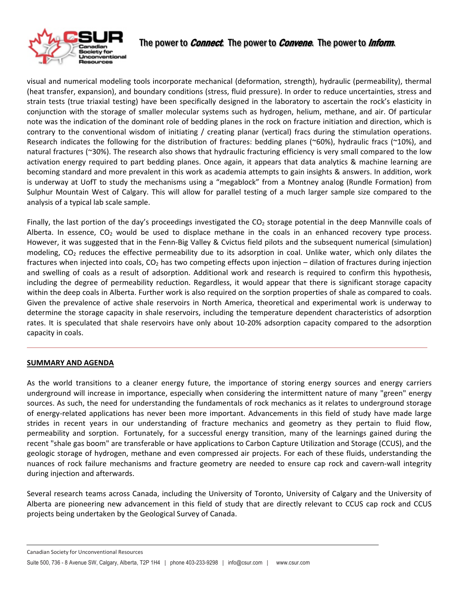

# The power to *Connect*. The power to *Convene*. The power to *Inform*.

visual and numerical modeling tools incorporate mechanical (deformation, strength), hydraulic (permeability), thermal (heat transfer, expansion), and boundary conditions (stress, fluid pressure). In order to reduce uncertainties, stress and strain tests (true triaxial testing) have been specifically designed in the laboratory to ascertain the rock's elasticity in conjunction with the storage of smaller molecular systems such as hydrogen, helium, methane, and air. Of particular note was the indication of the dominant role of bedding planes in the rock on fracture initiation and direction, which is contrary to the conventional wisdom of initiating / creating planar (vertical) fracs during the stimulation operations. Research indicates the following for the distribution of fractures: bedding planes (~60%), hydraulic fracs (~10%), and natural fractures (~30%). The research also shows that hydraulic fracturing efficiency is very small compared to the low activation energy required to part bedding planes. Once again, it appears that data analytics & machine learning are becoming standard and more prevalent in this work as academia attempts to gain insights & answers. In addition, work is underway at UofT to study the mechanisms using a "megablock" from a Montney analog (Rundle Formation) from Sulphur Mountain West of Calgary. This will allow for parallel testing of a much larger sample size compared to the analysis of a typical lab scale sample.

Finally, the last portion of the day's proceedings investigated the  $CO<sub>2</sub>$  storage potential in the deep Mannville coals of Alberta. In essence,  $CO<sub>2</sub>$  would be used to displace methane in the coals in an enhanced recovery type process. However, it was suggested that in the Fenn-Big Valley & Cvictus field pilots and the subsequent numerical (simulation) modeling,  $CO<sub>2</sub>$  reduces the effective permeability due to its adsorption in coal. Unlike water, which only dilates the fractures when injected into coals,  $CO<sub>2</sub>$  has two competing effects upon injection – dilation of fractures during injection and swelling of coals as a result of adsorption. Additional work and research is required to confirm this hypothesis, including the degree of permeability reduction. Regardless, it would appear that there is significant storage capacity within the deep coals in Alberta. Further work is also required on the sorption properties of shale as compared to coals. Given the prevalence of active shale reservoirs in North America, theoretical and experimental work is underway to determine the storage capacity in shale reservoirs, including the temperature dependent characteristics of adsorption rates. It is speculated that shale reservoirs have only about 10-20% adsorption capacity compared to the adsorption capacity in coals.

## **SUMMARY AND AGENDA**

 $\overline{a}$ 

As the world transitions to a cleaner energy future, the importance of storing energy sources and energy carriers underground will increase in importance, especially when considering the intermittent nature of many "green" energy sources. As such, the need for understanding the fundamentals of rock mechanics as it relates to underground storage of energy-related applications has never been more important. Advancements in this field of study have made large strides in recent years in our understanding of fracture mechanics and geometry as they pertain to fluid flow, permeability and sorption. Fortunately, for a successful energy transition, many of the learnings gained during the recent "shale gas boom" are transferable or have applications to Carbon Capture Utilization and Storage (CCUS), and the geologic storage of hydrogen, methane and even compressed air projects. For each of these fluids, understanding the nuances of rock failure mechanisms and fracture geometry are needed to ensure cap rock and cavern-wall integrity during injection and afterwards.

Several research teams across Canada, including the University of Toronto, University of Calgary and the University of Alberta are pioneering new advancement in this field of study that are directly relevant to CCUS cap rock and CCUS projects being undertaken by the Geological Survey of Canada.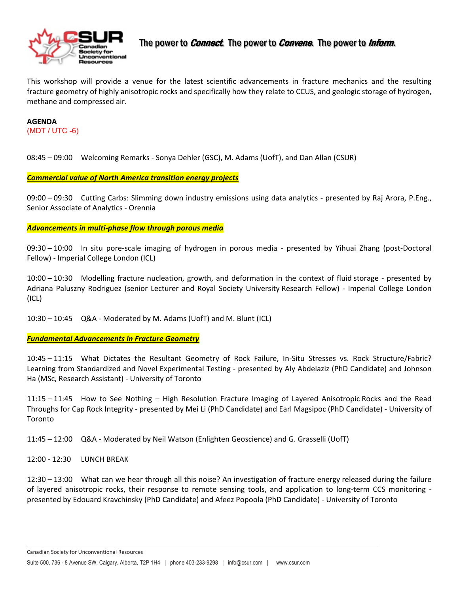

This workshop will provide a venue for the latest scientific advancements in fracture mechanics and the resulting fracture geometry of highly anisotropic rocks and specifically how they relate to CCUS, and geologic storage of hydrogen, methane and compressed air.

#### **AGENDA** (MDT / UTC -6)

08:45 – 09:00 Welcoming Remarks - Sonya Dehler (GSC), M. Adams (UofT), and Dan Allan (CSUR)

*Commercial value of North America transition energy projects*

09:00 – 09:30 Cutting Carbs: Slimming down industry emissions using data analytics - presented by Raj Arora, P.Eng., Senior Associate of Analytics - Orennia

#### *Advancements in multi-phase flow through porous media*

09:30 – 10:00 In situ pore-scale imaging of hydrogen in porous media - presented by Yihuai Zhang (post-Doctoral Fellow) - Imperial College London (ICL)

10:00 – 10:30 Modelling fracture nucleation, growth, and deformation in the context of fluid storage - presented by Adriana Paluszny Rodriguez (senior Lecturer and Royal Society University Research Fellow) - Imperial College London (ICL)

10:30 – 10:45 Q&A - Moderated by M. Adams (UofT) and M. Blunt (ICL)

## *Fundamental Advancements in Fracture Geometry*

10:45 – 11:15 What Dictates the Resultant Geometry of Rock Failure, In-Situ Stresses vs. Rock Structure/Fabric? Learning from Standardized and Novel Experimental Testing - presented by Aly Abdelaziz (PhD Candidate) and Johnson Ha (MSc, Research Assistant) - University of Toronto

11:15 – 11:45 How to See Nothing – High Resolution Fracture Imaging of Layered Anisotropic Rocks and the Read Throughs for Cap Rock Integrity - presented by Mei Li (PhD Candidate) and Earl Magsipoc (PhD Candidate) - University of Toronto

11:45 – 12:00 Q&A - Moderated by Neil Watson (Enlighten Geoscience) and G. Grasselli (UofT)

12:00 - 12:30 LUNCH BREAK

 $\overline{a}$ 

12:30 – 13:00 What can we hear through all this noise? An investigation of fracture energy released during the failure of layered anisotropic rocks, their response to remote sensing tools, and application to long-term CCS monitoring presented by Edouard Kravchinsky (PhD Candidate) and Afeez Popoola (PhD Candidate) - University of Toronto